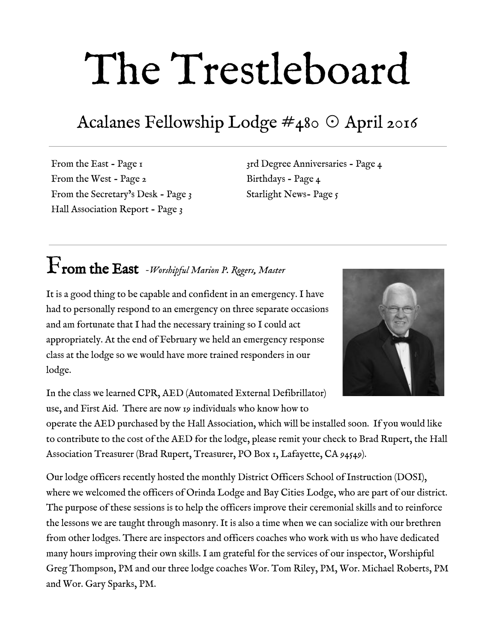# The Trestleboard

## Acalanes Fellowship Lodge #480 ☉ April 2016

From the East - Page 1 From the West - Page 2 From the Secretary's Desk - Page 3 Hall Association Report - Page 3

3rd Degree Anniversaries - Page 4 Birthdays - Page 4 Starlight News- Page  $\zeta$ 

## From the East *Worshipful Marion P. Rogers, Master*

It is a good thing to be capable and confident in an emergency. I have had to personally respond to an emergency on three separate occasions and am fortunate that I had the necessary training so I could act appropriately. At the end of February we held an emergency response class at the lodge so we would have more trained responders in our lodge.



In the class we learned CPR, AED (Automated External Defibrillator) use, and First Aid. There are now 19 individuals who know how to

operate the AED purchased by the Hall Association, which will be installed soon. If you would like to contribute to the cost of the AED for the lodge, please remit your check to Brad Rupert, the Hall Association Treasurer (Brad Rupert, Treasurer, PO Box 1, Lafayette, CA 94549).

Our lodge officers recently hosted the monthly District Officers School of Instruction (DOSI), where we welcomed the officers of Orinda Lodge and Bay Cities Lodge, who are part of our district. The purpose of these sessions is to help the officers improve their ceremonial skills and to reinforce the lessons we are taught through masonry. It is also a time when we can socialize with our brethren from other lodges. There are inspectors and officers coaches who work with us who have dedicated many hours improving their own skills. I am grateful for the services of our inspector, Worshipful Greg Thompson, PM and our three lodge coaches Wor. Tom Riley, PM, Wor. Michael Roberts, PM and Wor. Gary Sparks, PM.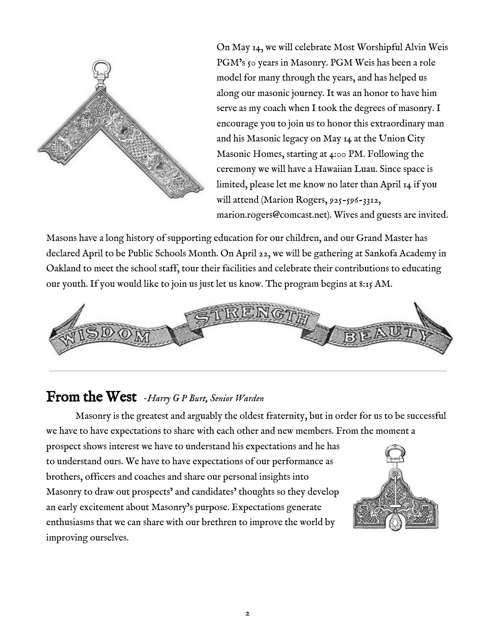

On May 14, we will celebrate Most Worshipful Alvin Weis PGM's 50 years in Masonry. PGM Weis has been a role model for many through the years, and has helped us along our masonic journey. It was an honor to have him serve as my coach when I took the degrees of masonry. I encourage you to join us to honor this extraordinary man and his Masonic legacy on May 14 at the Union City Masonic Homes, starting at 4:00 PM. Following the ceremony we will have a Hawaiian Luau. Since space is limited, please let me know no later than April 14 if you will attend (Marion Rogers, 925-596-3312, [marion.rogers@comcast.net\)](mailto:marion.rogers@comcast.net). Wives and guests are invited.

Masons have a long history of supporting education for our children, and our Grand Master has declared April to be Public Schools Month. On April 22, we will be gathering at Sankofa Academy in Oakland to meet the school staff, tour their facilities and celebrate their contributions to educating our youth. If you would like to join us just let us know. The program begins at 8:15 AM.



#### From the West *Harry <sup>G</sup> <sup>P</sup> Burt, Senior Warden*

Masonry is the greatest and arguably the oldest fraternity, but in order for us to be successful we have to have expectations to share with each other and new members. From the moment a

prospect shows interest we have to understand his expectations and he has to understand ours. We have to have expectations of our performance as brothers, officers and coaches and share our personal insights into Masonry to draw out prospects' and candidates' thoughts so they develop an early excitement about Masonry's purpose. Expectations generate enthusiasms that we can share with our brethren to improve the world by improving ourselves.

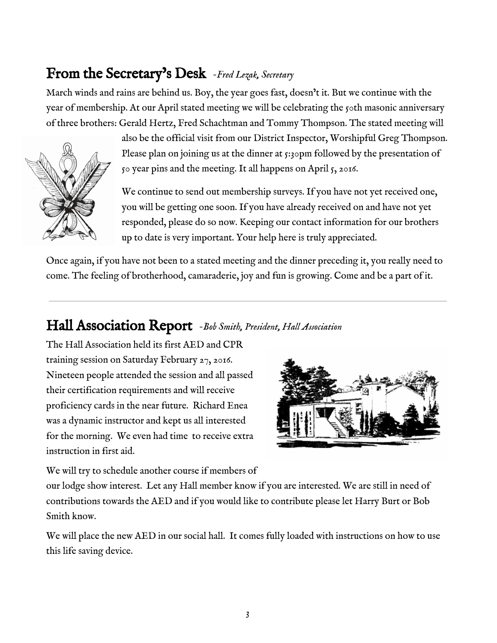## From the Secretary's Desk *Fred Lezak, Secretary*

March winds and rains are behind us. Boy, the year goes fast, doesn't it. But we continue with the year of membership. At our April stated meeting we will be celebrating the 50th masonic anniversary of three brothers: Gerald Hertz, Fred Schachtman and Tommy Thompson. The stated meeting will



also be the official visit from our District Inspector, Worshipful Greg Thompson. Please plan on joining us at the dinner at 5:30pm followed by the presentation of 50 year pins and the meeting. It all happens on April 5, 2016.

We continue to send out membership surveys. If you have not yet received one, you will be getting one soon. If you have already received on and have not yet responded, please do so now. Keeping our contact information for our brothers up to date is very important. Your help here is truly appreciated.

Once again, if you have not been to a stated meeting and the dinner preceding it, you really need to come. The feeling of brotherhood, camaraderie, joy and fun is growing. Come and be a part of it.

#### Hall Association Report *Bob Smith, President, Hall Association*

The Hall Association held its first AED and CPR training session on Saturday February 27, 2016. Nineteen people attended the session and all passed their certification requirements and will receive proficiency cards in the near future. Richard Enea was a dynamic instructor and kept us all interested for the morning. We even had time to receive extra instruction in first aid.



We will try to schedule another course if members of

our lodge show interest. Let any Hall member know if you are interested. We are still in need of contributions towards the AED and if you would like to contribute please let Harry Burt or Bob Smith know.

We will place the new AED in our social hall. It comes fully loaded with instructions on how to use this life saving device.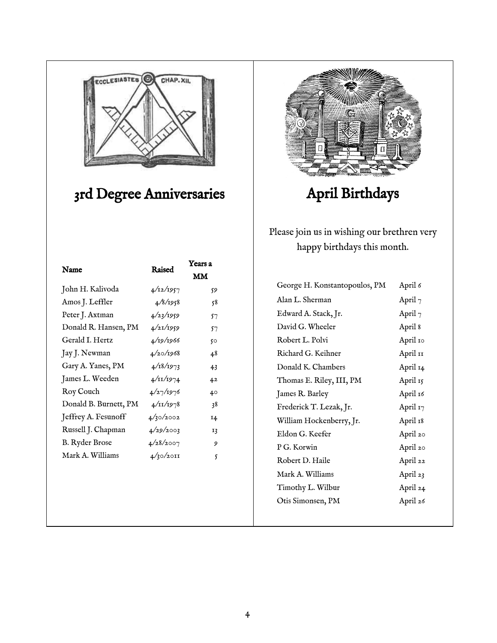

## 3rd Degree Anniversaries

| Name                  | Raised              | Years a                |
|-----------------------|---------------------|------------------------|
|                       |                     | $\mathbf{M}\mathbf{M}$ |
| John H. Kalivoda      | 4/12/1957           | 59                     |
| Amos J. Leffler       | 4/8/1958            | 58                     |
| Peter J. Axtman       | 4/23/1959           | 57                     |
| Donald R. Hansen, PM  | 4/21/1959           | 57                     |
| Gerald I. Hertz       | 4/19/1966           | 50                     |
| Jay J. Newman         | 4/20/1968           | 48                     |
| Gary A. Yanes, PM     | 4/18/1973           | 43                     |
| James L. Weeden       | $4/\frac{11}{1974}$ | 42                     |
| Roy Couch             | 4/27/1976           | 40                     |
| Donald B. Burnett, PM | $4/\frac{11}{1978}$ | 38                     |
| Jeffrey A. Fesunoff   | 4/30/2002           | 14                     |
| Russell J. Chapman    | 4/29/2003           | 13                     |
| <b>B.</b> Ryder Brose | 4/28/2007           | 9                      |
| Mark A. Williams      | 4/30/2011           | 5                      |
|                       |                     |                        |
|                       |                     |                        |
|                       |                     |                        |



## April Birthdays

Please join us in wishing our brethren very happy birthdays this month.

| George H. Konstantopoulos, PM | April 6    |
|-------------------------------|------------|
| Alan L. Sherman               | April $_7$ |
| Edward A. Stack, Jr.          | April $7$  |
| David G. Wheeler              | April 8    |
| Robert L. Polvi               | April 10   |
| Richard G. Keihner            | April 11   |
| Donald K. Chambers            | April 14   |
| Thomas E. Riley, III, PM      | April 15   |
| James R. Barley               | April 16   |
| Frederick T. Lezak, Jr.       | April 17   |
| William Hockenberry, Jr.      | April 18   |
| Eldon G. Keefer               | April 20   |
| P G. Korwin                   | April 20   |
| Robert D. Haile               | April 22   |
| Mark A. Williams              | April 23   |
| Timothy L. Wilbur             | April 24   |
| Otis Simonsen, PM             | April 26   |
|                               |            |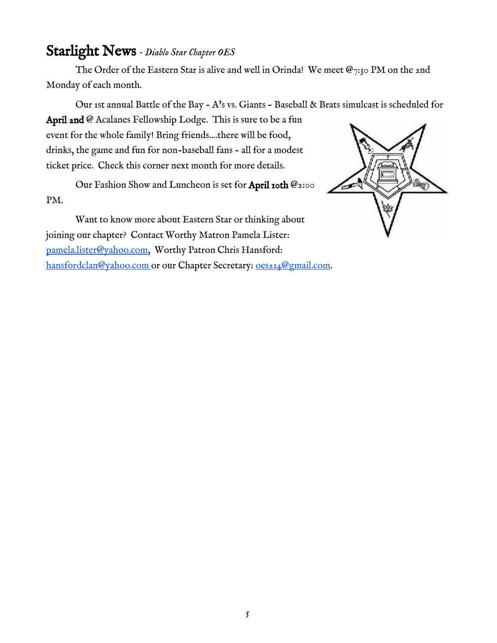#### Starlight News *Diablo Star Chapter OES*

The Order of the Eastern Star is alive and well in Orinda! We meet  $\mathcal{Q}_{7:30}$  PM on the 2nd Monday of each month.

Our 1st annual Battle of the Bay - A's vs. Giants - Baseball & Brats simulcast is scheduled for

April 2nd @ Acalanes Fellowship Lodge. This is sure to be a fun event for the whole family! Bring friends....there will be food, drinks, the game and fun for non-baseball fans - all for a modest ticket price. Check this corner next month for more details.

Our Fashion Show and Luncheon is set for April 10th @2:00 PM.

Want to know more about Eastern Star or thinking about joining our chapter? Contact Worthy Matron Pamela Lister: [pamela.lister@yahoo.com](mailto:pamela.lister@yahoo.com), Worthy Patron Chris Hansford: [hansfordclan@yahoo.com](mailto:hansfordclan@yahoo.com) or our Chapter Secretary: 0es214@gmail.com.